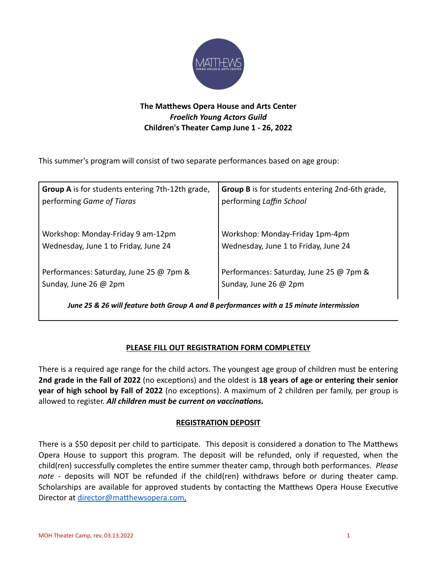

# **The Matthews Opera House and Arts Center** *Froelich Young Actors Guild*  **Children's Theater Camp June 1 - 26, 2022**

This summer's program will consist of two separate performances based on age group:

| <b>Group A</b> is for students entering 7th-12th grade, | Group B is for students entering 2nd-6th grade, |  |  |
|---------------------------------------------------------|-------------------------------------------------|--|--|
| performing Game of Tiaras                               | performing Laffin School                        |  |  |
| Workshop: Monday-Friday 9 am-12pm                       | Workshop: Monday-Friday 1pm-4pm                 |  |  |
| Wednesday, June 1 to Friday, June 24                    | Wednesday, June 1 to Friday, June 24            |  |  |
| Performances: Saturday, June 25 @ 7pm &                 | Performances: Saturday, June 25 @ 7pm &         |  |  |
| Sunday, June 26 @ 2pm                                   | Sunday, June 26 @ 2pm                           |  |  |

*June 25 & 26 will feature both Group A and B performances with a 15 minute intermission*

## **PLEASE FILL OUT REGISTRATION FORM COMPLETELY**

There is a required age range for the child actors. The youngest age group of children must be entering **2nd grade in the Fall of 2022** (no exceptions) and the oldest is **18 years of age or entering their senior year of high school by Fall of 2022** (no exceptions). A maximum of 2 children per family, per group is allowed to register. *All children must be current on vaccinations.*

## **REGISTRATION DEPOSIT**

There is a \$50 deposit per child to participate. This deposit is considered a donation to The Matthews Opera House to support this program. The deposit will be refunded, only if requested, when the child(ren) successfully completes the entire summer theater camp, through both performances. *Please note* - deposits will NOT be refunded if the child(ren) withdraws before or during theater camp. Scholarships are available for approved students by contacting the Matthews Opera House Executive Director at [director@matthewsopera.com](mailto:director@matthewsopera.com).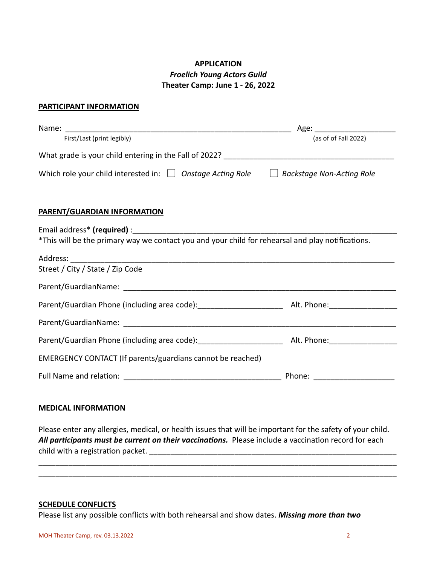## **APPLICATION** *Froelich Young Actors Guild*  **Theater Camp: June 1 - 26, 2022**

### **PARTICIPANT INFORMATION**

| First/Last (print legibly)                                                                        | (as of of Fall 2022) |
|---------------------------------------------------------------------------------------------------|----------------------|
|                                                                                                   |                      |
| Which role your child interested in: $\Box$ Onstage Acting Role $\Box$ Backstage Non-Acting Role  |                      |
| <b>PARENT/GUARDIAN INFORMATION</b>                                                                |                      |
|                                                                                                   |                      |
| *This will be the primary way we contact you and your child for rehearsal and play notifications. |                      |
|                                                                                                   |                      |
| Street / City / State / Zip Code                                                                  |                      |
|                                                                                                   |                      |
|                                                                                                   |                      |
|                                                                                                   |                      |
|                                                                                                   |                      |
| EMERGENCY CONTACT (If parents/guardians cannot be reached)                                        |                      |
|                                                                                                   |                      |

#### **MEDICAL INFORMATION**

Please enter any allergies, medical, or health issues that will be important for the safety of your child. *All participants must be current on their vaccinations.* Please include a vaccination record for each child with a registration packet. **Example 20** and the set of the set of the set of the set of the set of the set o

\_\_\_\_\_\_\_\_\_\_\_\_\_\_\_\_\_\_\_\_\_\_\_\_\_\_\_\_\_\_\_\_\_\_\_\_\_\_\_\_\_\_\_\_\_\_\_\_\_\_\_\_\_\_\_\_\_\_\_\_\_\_\_\_\_\_\_\_\_\_\_\_\_\_\_\_\_\_\_\_\_\_\_\_ \_\_\_\_\_\_\_\_\_\_\_\_\_\_\_\_\_\_\_\_\_\_\_\_\_\_\_\_\_\_\_\_\_\_\_\_\_\_\_\_\_\_\_\_\_\_\_\_\_\_\_\_\_\_\_\_\_\_\_\_\_\_\_\_\_\_\_\_\_\_\_\_\_\_\_\_\_\_\_\_\_\_\_\_

#### **SCHEDULE CONFLICTS**

Please list any possible conflicts with both rehearsal and show dates. *Missing more than two*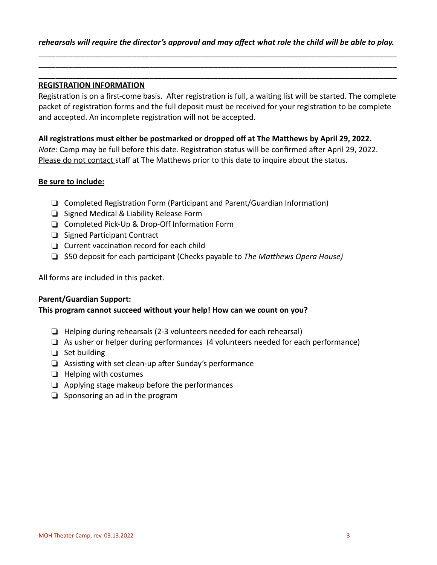\_\_\_\_\_\_\_\_\_\_\_\_\_\_\_\_\_\_\_\_\_\_\_\_\_\_\_\_\_\_\_\_\_\_\_\_\_\_\_\_\_\_\_\_\_\_\_\_\_\_\_\_\_\_\_\_\_\_\_\_\_\_\_\_\_\_\_\_\_\_\_\_\_\_\_\_\_\_\_\_\_\_\_\_ \_\_\_\_\_\_\_\_\_\_\_\_\_\_\_\_\_\_\_\_\_\_\_\_\_\_\_\_\_\_\_\_\_\_\_\_\_\_\_\_\_\_\_\_\_\_\_\_\_\_\_\_\_\_\_\_\_\_\_\_\_\_\_\_\_\_\_\_\_\_\_\_\_\_\_\_\_\_\_\_\_\_\_\_

#### **REGISTRATION INFORMATION**

Registration is on a first-come basis. After registration is full, a waiting list will be started. The complete packet of registration forms and the full deposit must be received for your registration to be complete and accepted. An incomplete registration will not be accepted.

### **All registrations must either be postmarked or dropped off at The Matthews by April 29, 2022.**

*Note:* Camp may be full before this date. Registration status will be confirmed after April 29, 2022. Please do not contact staff at The Matthews prior to this date to inquire about the status.

#### **Be sure to include:**

- ❏ Completed Registration Form (Participant and Parent/Guardian Information)
- ❏ Signed Medical & Liability Release Form
- ❏ Completed Pick-Up & Drop-Off Information Form
- ❏ Signed Participant Contract
- ❏ Current vaccination record for each child
- ❏ \$50 deposit for each participant (Checks payable to *The Matthews Opera House)*

All forms are included in this packet.

#### **Parent/Guardian Support:**

### **This program cannot succeed without your help! How can we count on you?**

- ❏ Helping during rehearsals (2-3 volunteers needed for each rehearsal)
- ❏ As usher or helper during performances (4 volunteers needed for each performance)
- ❏ Set building
- ❏ Assisting with set clean-up after Sunday's performance
- ❏ Helping with costumes
- ❏ Applying stage makeup before the performances
- ❏ Sponsoring an ad in the program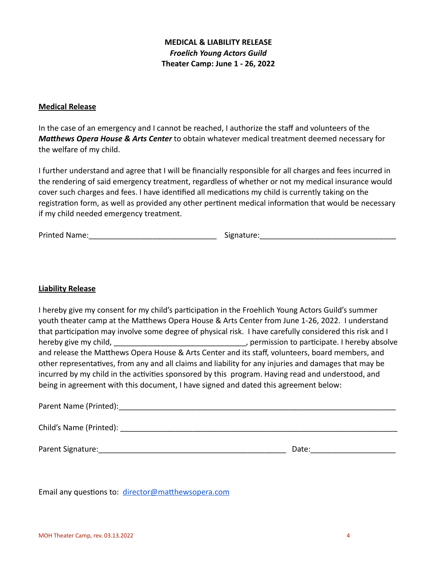## **MEDICAL & LIABILITY RELEASE** *Froelich Young Actors Guild*  **Theater Camp: June 1 - 26, 2022**

#### **Medical Release**

In the case of an emergency and I cannot be reached, I authorize the staff and volunteers of the *Matthews Opera House & Arts Center* to obtain whatever medical treatment deemed necessary for the welfare of my child.

I further understand and agree that I will be financially responsible for all charges and fees incurred in the rendering of said emergency treatment, regardless of whether or not my medical insurance would cover such charges and fees. I have identified all medications my child is currently taking on the registration form, as well as provided any other pertinent medical information that would be necessary if my child needed emergency treatment.

Printed Name:\_\_\_\_\_\_\_\_\_\_\_\_\_\_\_\_\_\_\_\_\_\_\_\_\_\_\_\_\_\_ Signature:\_\_\_\_\_\_\_\_\_\_\_\_\_\_\_\_\_\_\_\_\_\_\_\_\_\_\_\_\_\_\_\_

## **Liability Release**

I hereby give my consent for my child's participation in the Froehlich Young Actors Guild's summer youth theater camp at the Matthews Opera House & Arts Center from June 1-26, 2022. I understand that participation may involve some degree of physical risk. I have carefully considered this risk and I hereby give my child, hereby give my child,  $\rho$  ermission to participate. I hereby absolve and release the Matthews Opera House & Arts Center and its staff, volunteers, board members, and other representatives, from any and all claims and liability for any injuries and damages that may be incurred by my child in the activities sponsored by this program. Having read and understood, and being in agreement with this document, I have signed and dated this agreement below:

| Parent Name (Printed):  |       |
|-------------------------|-------|
| Child's Name (Printed): |       |
| Parent Signature:       | Date: |

Email any questions to: [director@matthewsopera.com](mailto:director@matthewsopera.com)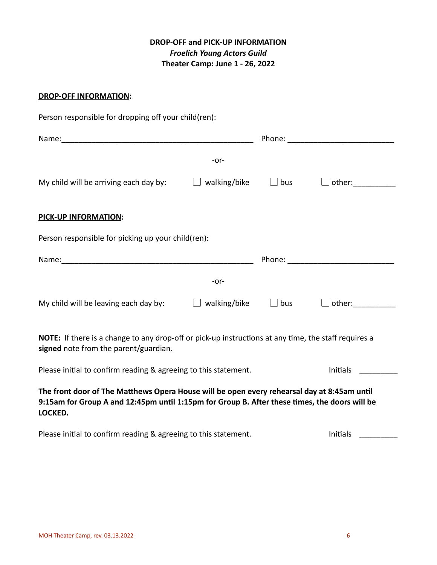# **DROP-OFF and PICK-UP INFORMATION** *Froelich Young Actors Guild*  **Theater Camp: June 1 - 26, 2022**

### **DROP-OFF INFORMATION:**

| Person responsible for dropping off your child(ren):                                                                                                                                                    |              |                                                                                                                                                                                                                                |                                                                                                                                                                                                                               |
|---------------------------------------------------------------------------------------------------------------------------------------------------------------------------------------------------------|--------------|--------------------------------------------------------------------------------------------------------------------------------------------------------------------------------------------------------------------------------|-------------------------------------------------------------------------------------------------------------------------------------------------------------------------------------------------------------------------------|
|                                                                                                                                                                                                         |              |                                                                                                                                                                                                                                |                                                                                                                                                                                                                               |
|                                                                                                                                                                                                         | $-0r-$       |                                                                                                                                                                                                                                |                                                                                                                                                                                                                               |
| My child will be arriving each day by:                                                                                                                                                                  | walking/bike | bus                                                                                                                                                                                                                            | other: when the control of the control of the control of the control of the control of the control of the control of the control of the control of the control of the control of the control of the control of the control of |
| <b>PICK-UP INFORMATION:</b>                                                                                                                                                                             |              |                                                                                                                                                                                                                                |                                                                                                                                                                                                                               |
| Person responsible for picking up your child(ren):                                                                                                                                                      |              |                                                                                                                                                                                                                                |                                                                                                                                                                                                                               |
|                                                                                                                                                                                                         |              | Phone: the contract of the contract of the contract of the contract of the contract of the contract of the contract of the contract of the contract of the contract of the contract of the contract of the contract of the con |                                                                                                                                                                                                                               |
|                                                                                                                                                                                                         | $-0r-$       |                                                                                                                                                                                                                                |                                                                                                                                                                                                                               |
| My child will be leaving each day by:                                                                                                                                                                   | walking/bike | $\Box$ bus                                                                                                                                                                                                                     |                                                                                                                                                                                                                               |
| NOTE: If there is a change to any drop-off or pick-up instructions at any time, the staff requires a<br>signed note from the parent/guardian.                                                           |              |                                                                                                                                                                                                                                |                                                                                                                                                                                                                               |
| Please initial to confirm reading & agreeing to this statement.                                                                                                                                         |              |                                                                                                                                                                                                                                | Initials                                                                                                                                                                                                                      |
| The front door of The Matthews Opera House will be open every rehearsal day at 8:45am until<br>9:15am for Group A and 12:45pm until 1:15pm for Group B. After these times, the doors will be<br>LOCKED. |              |                                                                                                                                                                                                                                |                                                                                                                                                                                                                               |

Please initial to confirm reading & agreeing to this statement. The manuscription of this continuum